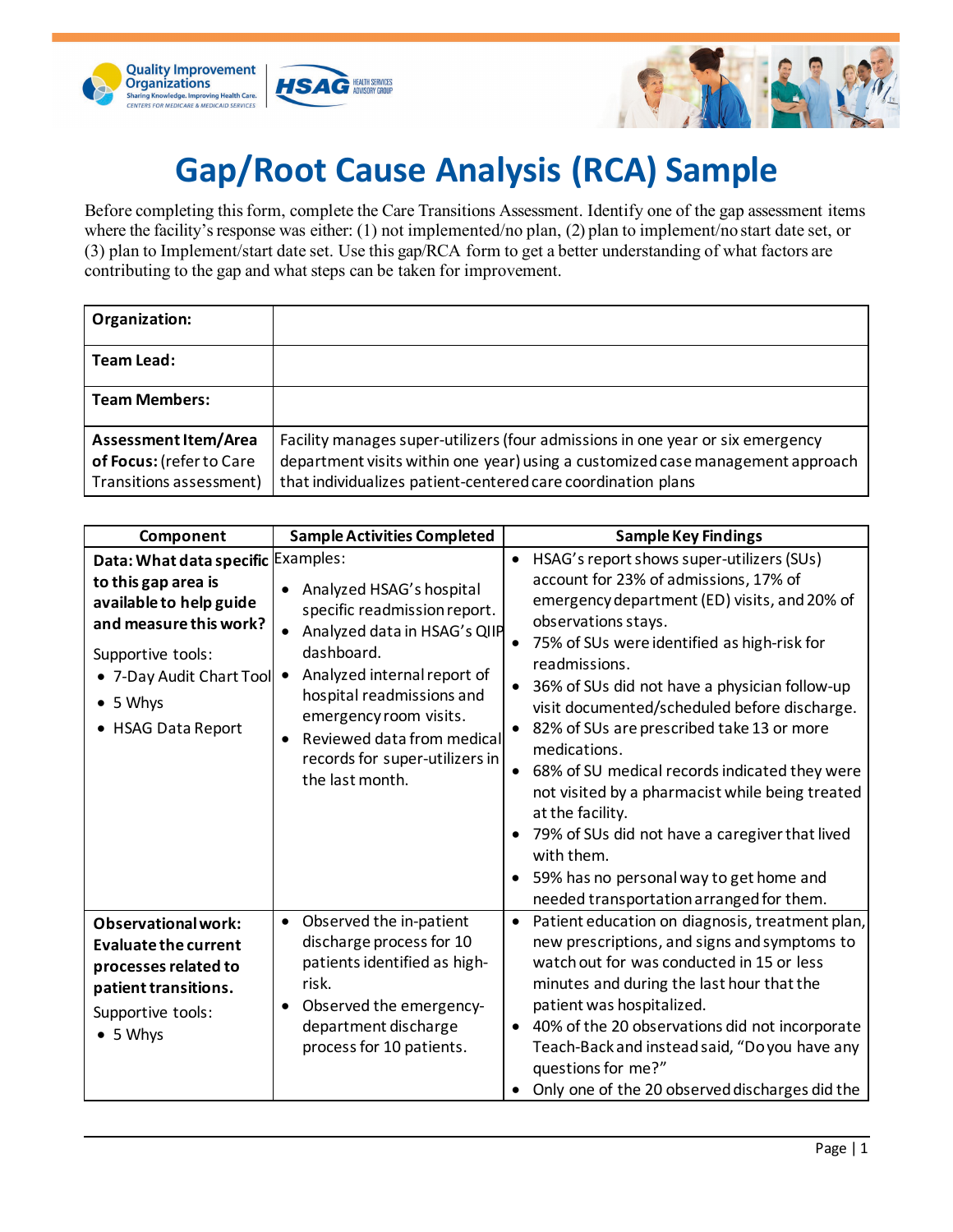



## **Gap/Root Cause Analysis (RCA) Sample**

Before completing this form, complete the Care Transitions Assessment. Identify one of the gap assessment items where the facility's response was either: (1) not implemented/no plan, (2) plan to implement/no start date set, or (3) plan to Implement/start date set. Use this gap/RCA form to get a better understanding of what factors are contributing to the gap and what steps can be taken for improvement.

| Organization:                                                               |                                                                                                                                                                                                                                  |
|-----------------------------------------------------------------------------|----------------------------------------------------------------------------------------------------------------------------------------------------------------------------------------------------------------------------------|
| Team Lead:                                                                  |                                                                                                                                                                                                                                  |
| <b>Team Members:</b>                                                        |                                                                                                                                                                                                                                  |
| Assessment Item/Area<br>of Focus: (refer to Care<br>Transitions assessment) | Facility manages super-utilizers (four admissions in one year or six emergency<br>department visits within one year) using a customized case management approach<br>that individualizes patient-centered care coordination plans |

| Component                                                                                                                                                                                                 | <b>Sample Activities Completed</b>                                                                                                                                                                                                                                                                        | <b>Sample Key Findings</b>                                                                                                                                                                                                                                                                                                                                                                                                                                                                                                                                                                                                                                             |
|-----------------------------------------------------------------------------------------------------------------------------------------------------------------------------------------------------------|-----------------------------------------------------------------------------------------------------------------------------------------------------------------------------------------------------------------------------------------------------------------------------------------------------------|------------------------------------------------------------------------------------------------------------------------------------------------------------------------------------------------------------------------------------------------------------------------------------------------------------------------------------------------------------------------------------------------------------------------------------------------------------------------------------------------------------------------------------------------------------------------------------------------------------------------------------------------------------------------|
| Data: What data specific Examples:<br>to this gap area is<br>available to help guide<br>and measure this work?<br>Supportive tools:<br>• 7-Day Audit Chart Tool<br>$\bullet$ 5 Whys<br>• HSAG Data Report | Analyzed HSAG's hospital<br>$\bullet$<br>specific readmission report.<br>Analyzed data in HSAG's QIIP<br>dashboard.<br>Analyzed internal report of<br>$\bullet$<br>hospital readmissions and<br>emergency room visits.<br>Reviewed data from medical<br>records for super-utilizers in<br>the last month. | HSAG's report shows super-utilizers (SUs)<br>account for 23% of admissions, 17% of<br>emergency department (ED) visits, and 20% of<br>observations stays.<br>75% of SUs were identified as high-risk for<br>readmissions.<br>36% of SUs did not have a physician follow-up<br>visit documented/scheduled before discharge.<br>82% of SUs are prescribed take 13 or more<br>medications.<br>68% of SU medical records indicated they were<br>not visited by a pharmacist while being treated<br>at the facility.<br>79% of SUs did not have a caregiver that lived<br>with them.<br>59% has no personal way to get home and<br>needed transportation arranged for them. |
| <b>Observational work:</b><br><b>Evaluate the current</b><br>processes related to<br>patient transitions.<br>Supportive tools:<br>• 5 Why                                                                 | Observed the in-patient<br>$\bullet$<br>discharge process for 10<br>patients identified as high-<br>risk.<br>Observed the emergency-<br>department discharge<br>process for 10 patients.                                                                                                                  | Patient education on diagnosis, treatment plan,<br>new prescriptions, and signs and symptoms to<br>watch out for was conducted in 15 or less<br>minutes and during the last hour that the<br>patient was hospitalized.<br>40% of the 20 observations did not incorporate<br>Teach-Back and instead said, "Do you have any<br>questions for me?"<br>Only one of the 20 observed discharges did the                                                                                                                                                                                                                                                                      |